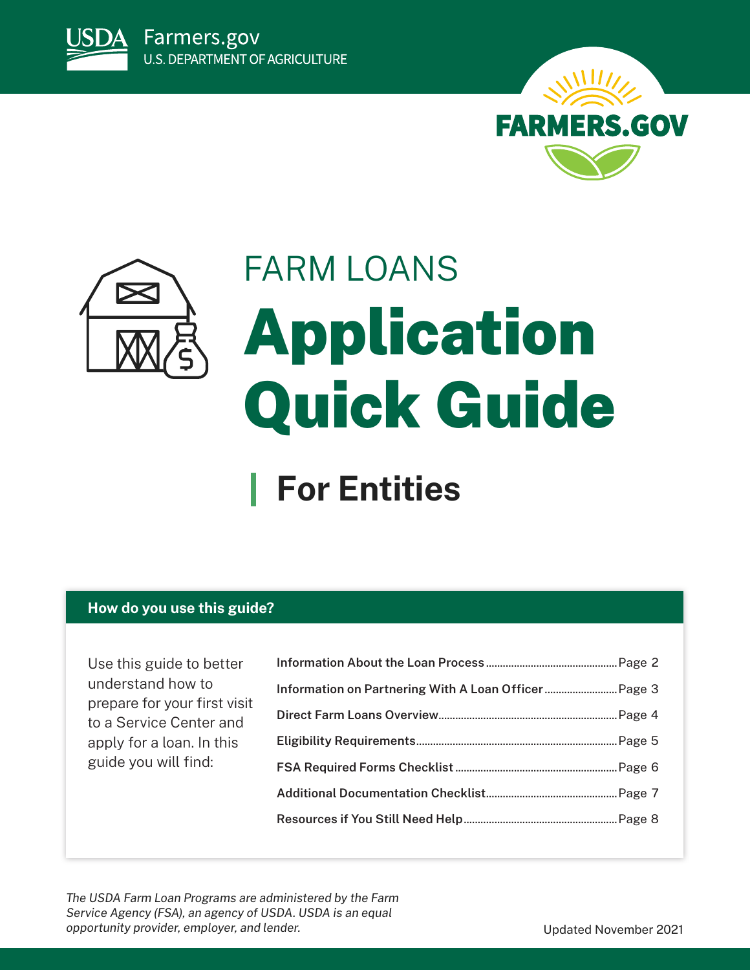





# FARM LOANS Application Quick Guide

## **For Entities**

## **How do you use this guide?**

Use this guide to better understand how to prepare for your first visit to a Service Center and apply for a loan. In this guide you will find:

*The USDA Farm Loan Programs are administered by the Farm Service Agency (FSA), an agency of USDA. USDA is an equal opportunity provider, employer, and lender.* The same of the set of the Updated November 2021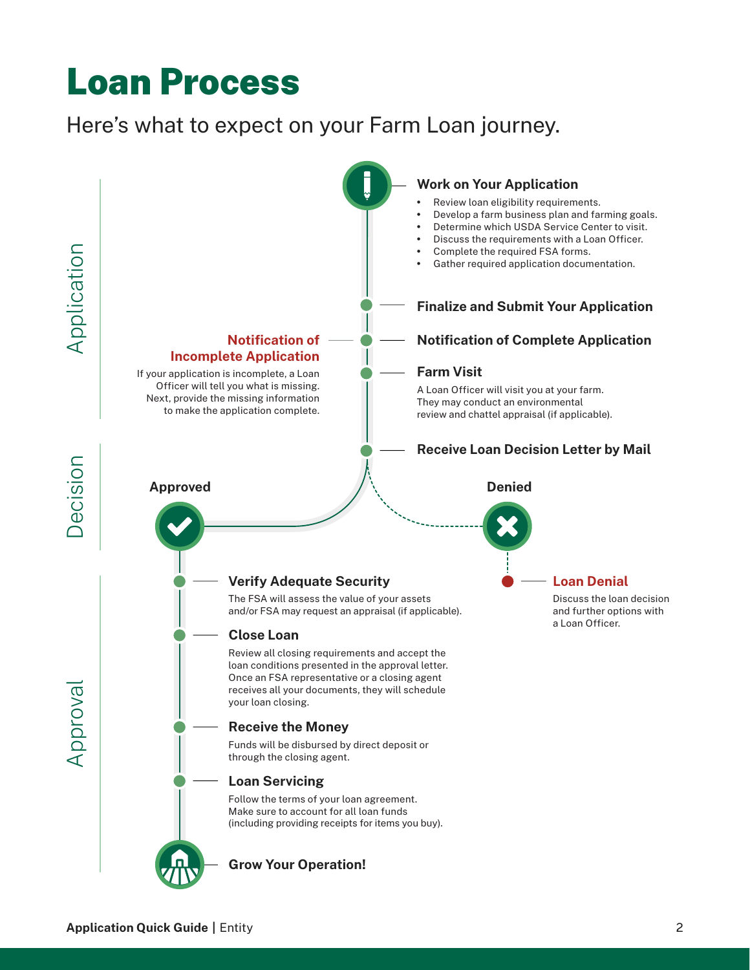## <span id="page-1-0"></span>Loan Process

## Here's what to expect on your Farm Loan journey.

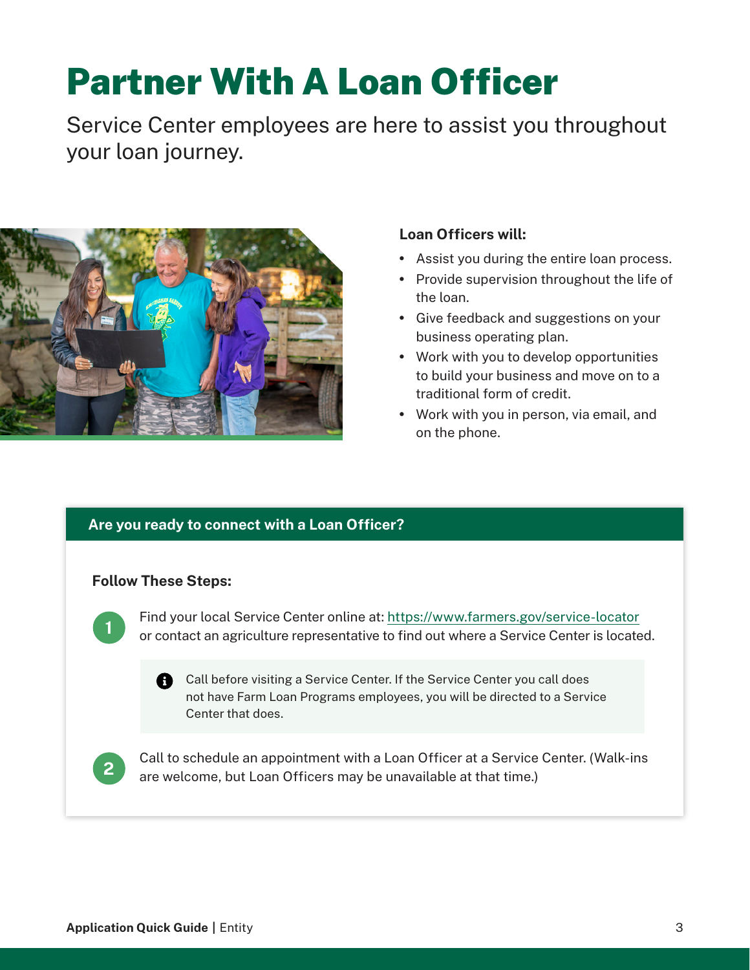## <span id="page-2-0"></span>Partner With A Loan Officer

Service Center employees are here to assist you throughout your loan journey.



## **Loan Officers will:**

- Assist you during the entire loan process.
- Provide supervision throughout the life of the loan.
- Give feedback and suggestions on your business operating plan.
- Work with you to develop opportunities to build your business and move on to a traditional form of credit.
- Work with you in person, via email, and on the phone.

## **Are you ready to connect with a Loan Officer?**

## **Follow These Steps:**



Find your local Service Center online at:<https://www.farmers.gov/service-locator> or contact an agriculture representative to find out where a Service Center is located.

**A** Call before visiting a Service Center. If the Service Center you call does not have Farm Loan Programs employees, you will be directed to a Service Center that does.



Call to schedule an appointment with a Loan Officer at a Service Center. (Walk-ins are welcome, but Loan Officers may be unavailable at that time.)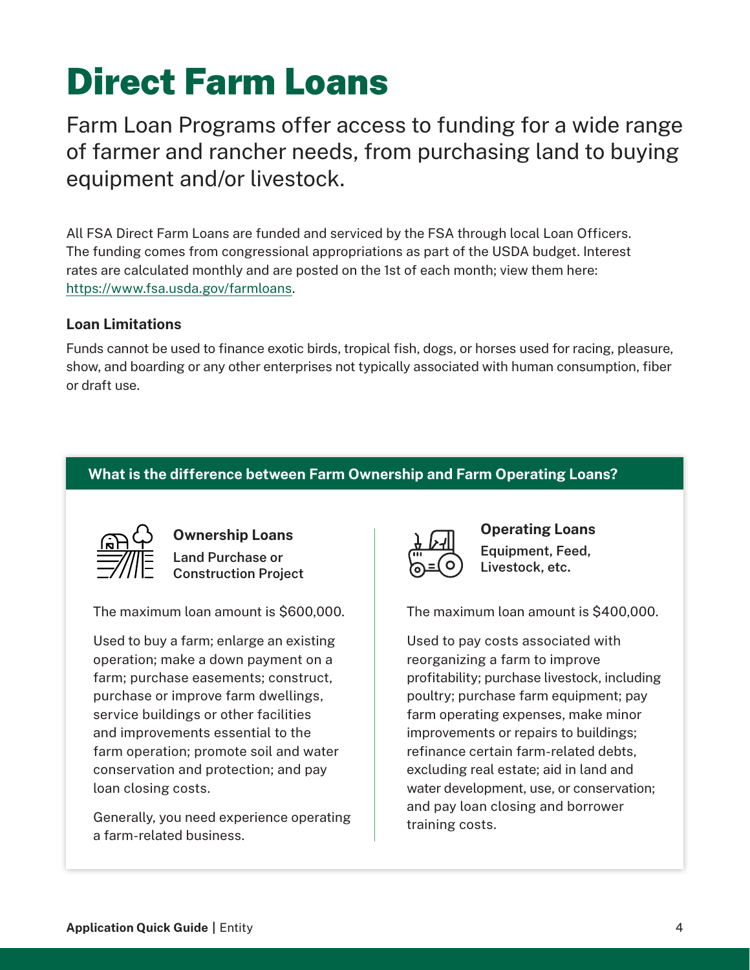## <span id="page-3-0"></span>Direct Farm Loans

Farm Loan Programs offer access to funding for a wide range of farmer and rancher needs, from purchasing land to buying equipment and/or livestock.

All FSA Direct Farm Loans are funded and serviced by the FSA through local Loan Officers. The funding comes from congressional appropriations as part of the USDA budget. Interest rates are calculated monthly and are posted on the 1st of each month; view them here: [https://www.fsa.usda.gov/farmloans.](https://www.fsa.usda.gov/farmloans)

### **Loan Limitations**

Funds cannot be used to finance exotic birds, tropical fish, dogs, or horses used for racing, pleasure, show, and boarding or any other enterprises not typically associated with human consumption, fiber or draft use.

## **What is the difference between Farm Ownership and Farm Operating Loans?**



**Ownership Loans Land Purchase or Construction Project**

The maximum loan amount is \$600,000.

Used to buy a farm; enlarge an existing operation; make a down payment on a farm; purchase easements; construct, purchase or improve farm dwellings, service buildings or other facilities and improvements essential to the farm operation; promote soil and water conservation and protection; and pay loan closing costs.

Generally, you need experience operating a farm-related business.



**Operating Loans Equipment, Feed, Livestock, etc.**

The maximum loan amount is \$400,000.

Used to pay costs associated with reorganizing a farm to improve profitability; purchase livestock, including poultry; purchase farm equipment; pay farm operating expenses, make minor improvements or repairs to buildings; refinance certain farm-related debts, excluding real estate; aid in land and water development, use, or conservation; and pay loan closing and borrower training costs.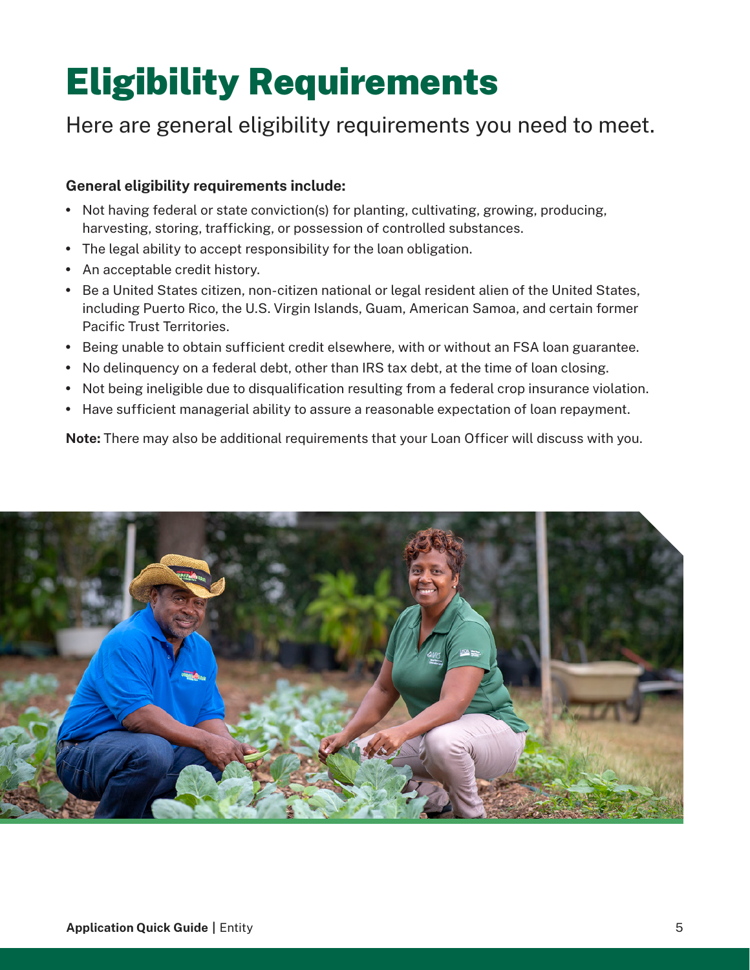## <span id="page-4-0"></span>Eligibility Requirements

## Here are general eligibility requirements you need to meet.

### **General eligibility requirements include:**

- Not having federal or state conviction(s) for planting, cultivating, growing, producing, harvesting, storing, trafficking, or possession of controlled substances.
- The legal ability to accept responsibility for the loan obligation.
- An acceptable credit history.
- Be a United States citizen, non-citizen national or legal resident alien of the United States, including Puerto Rico, the U.S. Virgin Islands, Guam, American Samoa, and certain former Pacific Trust Territories.
- Being unable to obtain sufficient credit elsewhere, with or without an FSA loan guarantee.
- No delinquency on a federal debt, other than IRS tax debt, at the time of loan closing.
- Not being ineligible due to disqualification resulting from a federal crop insurance violation.
- Have sufficient managerial ability to assure a reasonable expectation of loan repayment.

**Note:** There may also be additional requirements that your Loan Officer will discuss with you.

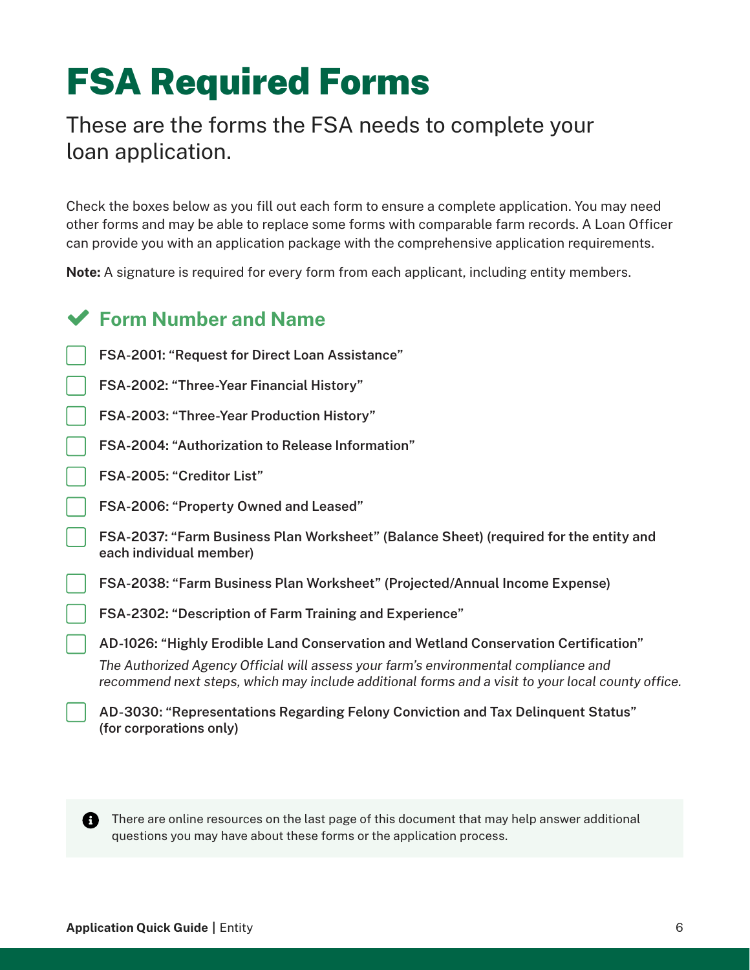## <span id="page-5-0"></span>FSA Required Forms

## These are the forms the FSA needs to complete your loan application.

Check the boxes below as you fill out each form to ensure a complete application. You may need other forms and may be able to replace some forms with comparable farm records. A Loan Officer can provide you with an application package with the comprehensive application requirements.

**Note:** A signature is required for every form from each applicant, including entity members.

## **Form Number and Name**

- **FSA-2001: "Request for Direct Loan Assistance"**
- **FSA-2002: "Three-Year Financial History"**
- **FSA-2003: "Three-Year Production History"**
- **FSA-2004: "Authorization to Release Information"**
- **FSA-2005: "Creditor List"**
- **FSA-2006: "Property Owned and Leased"**
- **FSA-2037: "Farm Business Plan Worksheet" (Balance Sheet) (required for the entity and each individual member)**
- **FSA-2038: "Farm Business Plan Worksheet" (Projected/Annual Income Expense)**
- **FSA-2302: "Description of Farm Training and Experience"**
- **AD-1026: "Highly Erodible Land Conservation and Wetland Conservation Certification"**

*The Authorized Agency Official will assess your farm's environmental compliance and recommend next steps, which may include additional forms and a visit to your local county office.*

**AD-3030: "Representations Regarding Felony Conviction and Tax Delinquent Status" (for corporations only)**

There are online resources on the last page of this document that may help answer additional questions you may have about these forms or the application process.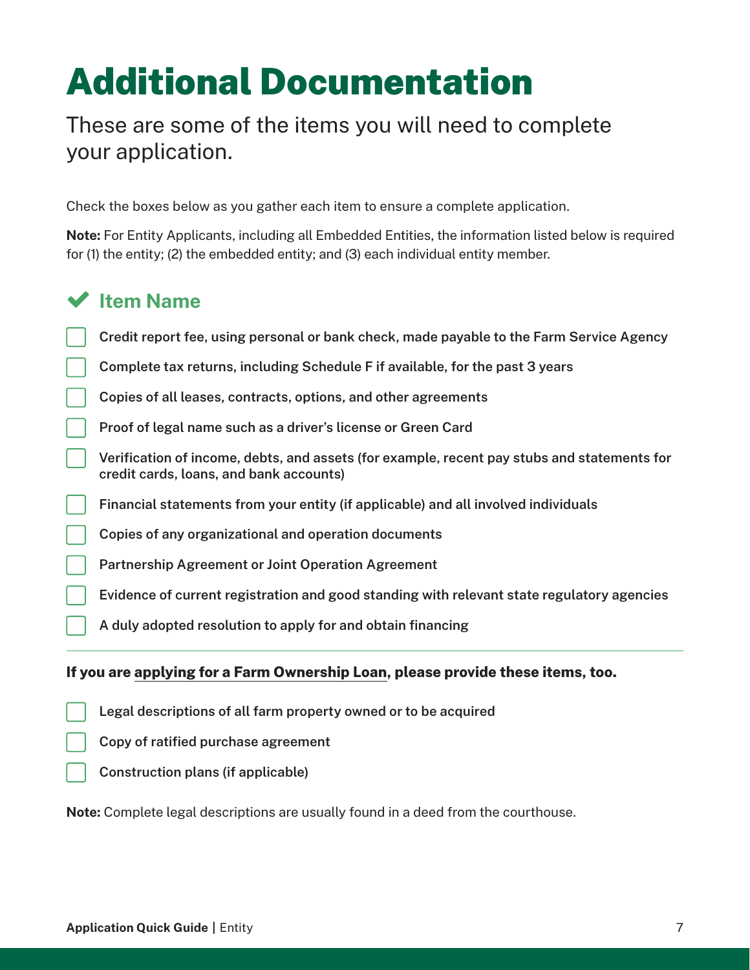## <span id="page-6-0"></span>Additional Documentation

## These are some of the items you will need to complete your application.

Check the boxes below as you gather each item to ensure a complete application.

**Note:** For Entity Applicants, including all Embedded Entities, the information listed below is required for (1) the entity; (2) the embedded entity; and (3) each individual entity member.

## **Item Name**

- **Credit report fee, using personal or bank check, made payable to the Farm Service Agency**
- **Complete tax returns, including Schedule F if available, for the past 3 years**
- **Copies of all leases, contracts, options, and other agreements**
- **Proof of legal name such as a driver's license or Green Card**
- **Verification of income, debts, and assets (for example, recent pay stubs and statements for credit cards, loans, and bank accounts)**
- **Financial statements from your entity (if applicable) and all involved individuals**
- **Copies of any organizational and operation documents**
- **Partnership Agreement or Joint Operation Agreement**
- **Evidence of current registration and good standing with relevant state regulatory agencies**
- **A duly adopted resolution to apply for and obtain financing**

#### **If you are applying for a Farm Ownership Loan, please provide these items, too.**

- **Legal descriptions of all farm property owned or to be acquired**
- **Copy of ratified purchase agreement**
- **Construction plans (if applicable)**

**Note:** Complete legal descriptions are usually found in a deed from the courthouse.